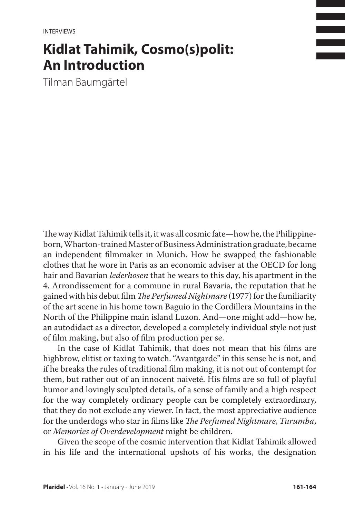**INTERVIEWS** 

## **Kidlat Tahimik, Cosmo(s)polit: An Introduction**

Tilman Baumgärtel

The way Kidlat Tahimik tells it, it was all cosmic fate—how he, the Philippineborn, Wharton-trained Master of Business Administration graduate, became an independent filmmaker in Munich. How he swapped the fashionable clothes that he wore in Paris as an economic adviser at the OECD for long hair and Bavarian *lederhosen* that he wears to this day, his apartment in the 4. Arrondissement for a commune in rural Bavaria, the reputation that he gained with his debut film *The Perfumed Nightmare* (1977) for the familiarity of the art scene in his home town Baguio in the Cordillera Mountains in the North of the Philippine main island Luzon. And—one might add—how he, an autodidact as a director, developed a completely individual style not just of film making, but also of film production per se.

In the case of Kidlat Tahimik, that does not mean that his films are highbrow, elitist or taxing to watch. "Avantgarde" in this sense he is not, and if he breaks the rules of traditional film making, it is not out of contempt for them, but rather out of an innocent naiveté. His films are so full of playful humor and lovingly sculpted details, of a sense of family and a high respect for the way completely ordinary people can be completely extraordinary, that they do not exclude any viewer. In fact, the most appreciative audience for the underdogs who star in films like *The Perfumed Nightmare*, *Turumba*, or *Memories of Overdevelopment* might be children.

Given the scope of the cosmic intervention that Kidlat Tahimik allowed in his life and the international upshots of his works, the designation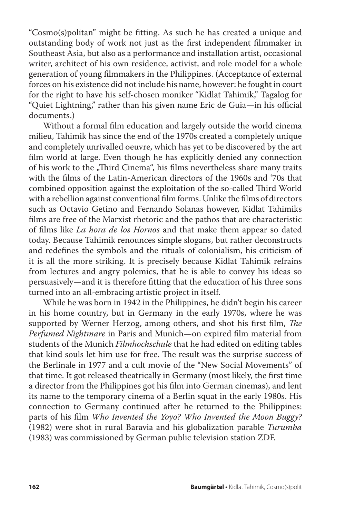"Cosmo(s)politan" might be fitting. As such he has created a unique and outstanding body of work not just as the first independent filmmaker in Southeast Asia, but also as a performance and installation artist, occasional writer, architect of his own residence, activist, and role model for a whole generation of young filmmakers in the Philippines. (Acceptance of external forces on his existence did not include his name, however: he fought in court for the right to have his self-chosen moniker "Kidlat Tahimik," Tagalog for "Quiet Lightning," rather than his given name Eric de Guia—in his official documents.)

Without a formal film education and largely outside the world cinema milieu, Tahimik has since the end of the 1970s created a completely unique and completely unrivalled oeuvre, which has yet to be discovered by the art film world at large. Even though he has explicitly denied any connection of his work to the "Third Cinema", his films nevertheless share many traits with the films of the Latin-American directors of the 1960s and '70s that combined opposition against the exploitation of the so-called Third World with a rebellion against conventional film forms. Unlike the films of directors such as Octavio Getino and Fernando Solanas however, Kidlat Tahimiks films are free of the Marxist rhetoric and the pathos that are characteristic of films like *La hora de los Hornos* and that make them appear so dated today. Because Tahimik renounces simple slogans, but rather deconstructs and redefines the symbols and the rituals of colonialism, his criticism of it is all the more striking. It is precisely because Kidlat Tahimik refrains from lectures and angry polemics, that he is able to convey his ideas so persuasively—and it is therefore fitting that the education of his three sons turned into an all-embracing artistic project in itself.

While he was born in 1942 in the Philippines, he didn't begin his career in his home country, but in Germany in the early 1970s, where he was supported by Werner Herzog, among others, and shot his first film, *The Perfumed Nightmare* in Paris and Munich—on expired film material from students of the Munich *Filmhochschule* that he had edited on editing tables that kind souls let him use for free. The result was the surprise success of the Berlinale in 1977 and a cult movie of the "New Social Movements" of that time. It got released theatrically in Germany (most likely, the first time a director from the Philippines got his film into German cinemas), and lent its name to the temporary cinema of a Berlin squat in the early 1980s. His connection to Germany continued after he returned to the Philippines: parts of his film *Who Invented the Yoyo? Who Invented the Moon Buggy?* (1982) were shot in rural Baravia and his globalization parable *Turumba* (1983) was commissioned by German public television station ZDF.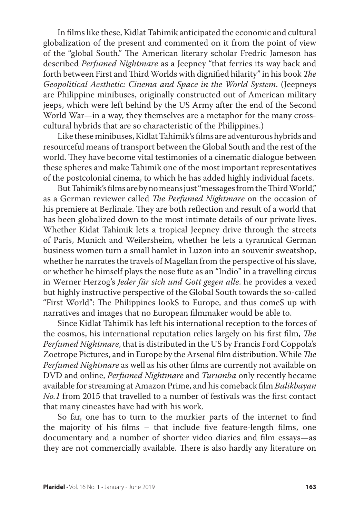In films like these, Kidlat Tahimik anticipated the economic and cultural globalization of the present and commented on it from the point of view of the "global South." The American literary scholar Fredric Jameson has described *Perfumed Nightmare* as a Jeepney "that ferries its way back and forth between First and Third Worlds with dignified hilarity" in his book *The Geopolitical Aesthetic: Cinema and Space in the World System*. (Jeepneys are Philippine minibuses, originally constructed out of American military jeeps, which were left behind by the US Army after the end of the Second World War—in a way, they themselves are a metaphor for the many crosscultural hybrids that are so characteristic of the Philippines.)

Like these minibuses, Kidlat Tahimik's films are adventurous hybrids and resourceful means of transport between the Global South and the rest of the world. They have become vital testimonies of a cinematic dialogue between these spheres and make Tahimik one of the most important representatives of the postcolonial cinema, to which he has added highly individual facets.

But Tahimik's films are by no means just "messages from the Third World," as a German reviewer called *The Perfumed Nightmare* on the occasion of his premiere at Berlinale. They are both reflection and result of a world that has been globalized down to the most intimate details of our private lives. Whether Kidat Tahimik lets a tropical Jeepney drive through the streets of Paris, Munich and Weilersheim, whether he lets a tyrannical German business women turn a small hamlet in Luzon into an souvenir sweatshop, whether he narrates the travels of Magellan from the perspective of his slave, or whether he himself plays the nose flute as an "Indio" in a travelling circus in Werner Herzog's *Jeder für sich und Gott gegen alle*. he provides a vexed but highly instructive perspective of the Global South towards the so-called "First World": The Philippines lookS to Europe, and thus comeS up with narratives and images that no European filmmaker would be able to.

Since Kidlat Tahimik has left his international reception to the forces of the cosmos, his international reputation relies largely on his first film, *The Perfumed Nightmare*, that is distributed in the US by Francis Ford Coppola's Zoetrope Pictures, and in Europe by the Arsenal film distribution. While *The Perfumed Nightmare* as well as his other films are currently not available on DVD and online, *Perfumed Nightmare* and *Turumba* only recently became available for streaming at Amazon Prime, and his comeback film *Balikbayan No.1* from 2015 that travelled to a number of festivals was the first contact that many cineastes have had with his work.

So far, one has to turn to the murkier parts of the internet to find the majority of his films – that include five feature-length films, one documentary and a number of shorter video diaries and film essays—as they are not commercially available. There is also hardly any literature on